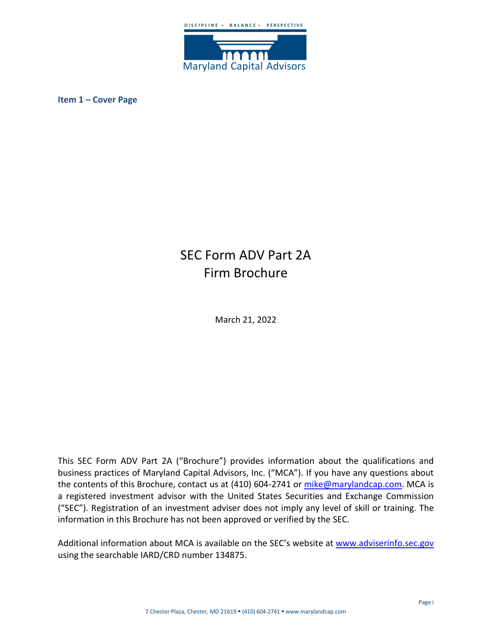

<span id="page-0-0"></span>**Item 1 – Cover Page**

# SEC Form ADV Part 2A Firm Brochure

March 21, 2022

This SEC Form ADV Part 2A ("Brochure") provides information about the qualifications and business practices of Maryland Capital Advisors, Inc. ("MCA"). If you have any questions about the contents of this Brochure, contact us at (410) 604-2741 or [mike@marylandcap.com.](mailto:mike@marylandcap.com) MCA is a registered investment advisor with the United States Securities and Exchange Commission ("SEC"). Registration of an investment adviser does not imply any level of skill or training. The information in this Brochure has not been approved or verified by the SEC.

Additional information about MCA is available on the SEC's website at [www.adviserinfo.sec.gov](http://www.adviserinfo.sec.gov/) using the searchable IARD/CRD number 134875.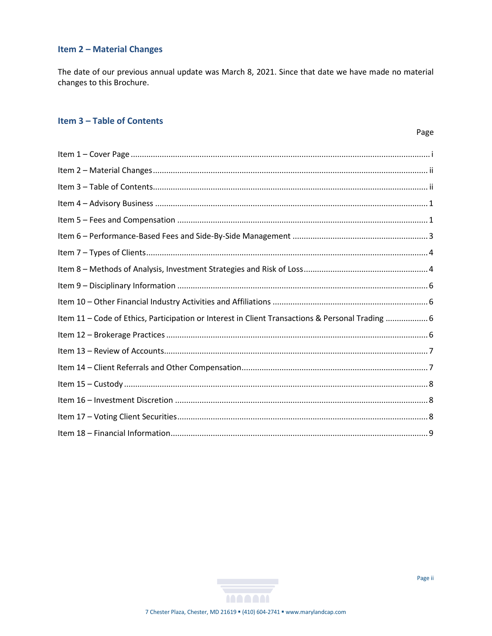# <span id="page-1-0"></span>**Item 2 - Material Changes**

The date of our previous annual update was March 8, 2021. Since that date we have made no material changes to this Brochure.

# <span id="page-1-1"></span>**Item 3 - Table of Contents**

| Item 11 - Code of Ethics, Participation or Interest in Client Transactions & Personal Trading 6 |  |
|-------------------------------------------------------------------------------------------------|--|
|                                                                                                 |  |
|                                                                                                 |  |
|                                                                                                 |  |
|                                                                                                 |  |
|                                                                                                 |  |
|                                                                                                 |  |
|                                                                                                 |  |
|                                                                                                 |  |

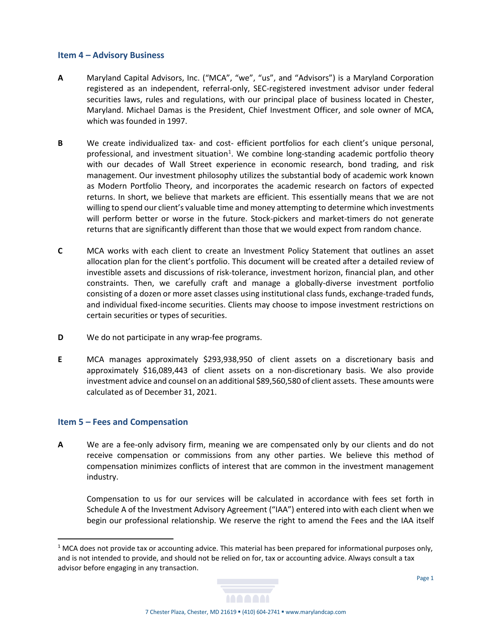#### <span id="page-2-0"></span>**Item 4 – Advisory Business**

- **A** Maryland Capital Advisors, Inc. ("MCA", "we", "us", and "Advisors") is a Maryland Corporation registered as an independent, referral-only, SEC-registered investment advisor under federal securities laws, rules and regulations, with our principal place of business located in Chester, Maryland. Michael Damas is the President, Chief Investment Officer, and sole owner of MCA, which was founded in 1997.
- **B** We create individualized tax- and cost- efficient portfolios for each client's unique personal, professional, and investment situation<sup>[1](#page-2-2)</sup>. We combine long-standing academic portfolio theory with our decades of Wall Street experience in economic research, bond trading, and risk management. Our investment philosophy utilizes the substantial body of academic work known as Modern Portfolio Theory, and incorporates the academic research on factors of expected returns. In short, we believe that markets are efficient. This essentially means that we are not willing to spend our client's valuable time and money attempting to determine which investments will perform better or worse in the future. Stock-pickers and market-timers do not generate returns that are significantly different than those that we would expect from random chance.
- **C** MCA works with each client to create an Investment Policy Statement that outlines an asset allocation plan for the client's portfolio. This document will be created after a detailed review of investible assets and discussions of risk-tolerance, investment horizon, financial plan, and other constraints. Then, we carefully craft and manage a globally-diverse investment portfolio consisting of a dozen or more asset classes using institutional class funds, exchange-traded funds, and individual fixed-income securities. Clients may choose to impose investment restrictions on certain securities or types of securities.
- **D** We do not participate in any wrap-fee programs.
- **E** MCA manages approximately \$293,938,950 of client assets on a discretionary basis and approximately \$16,089,443 of client assets on a non-discretionary basis. We also provide investment advice and counsel on an additional \$89,560,580 of client assets. These amounts were calculated as of December 31, 2021.

### <span id="page-2-1"></span>**Item 5 – Fees and Compensation**

**A** We are a fee-only advisory firm, meaning we are compensated only by our clients and do not receive compensation or commissions from any other parties. We believe this method of compensation minimizes conflicts of interest that are common in the investment management industry.

Compensation to us for our services will be calculated in accordance with fees set forth in Schedule A of the Investment Advisory Agreement ("IAA") entered into with each client when we begin our professional relationship. We reserve the right to amend the Fees and the IAA itself

<span id="page-2-2"></span> $1$  MCA does not provide tax or accounting advice. This material has been prepared for informational purposes only, and is not intended to provide, and should not be relied on for, tax or accounting advice. Always consult a tax advisor before engaging in any transaction.

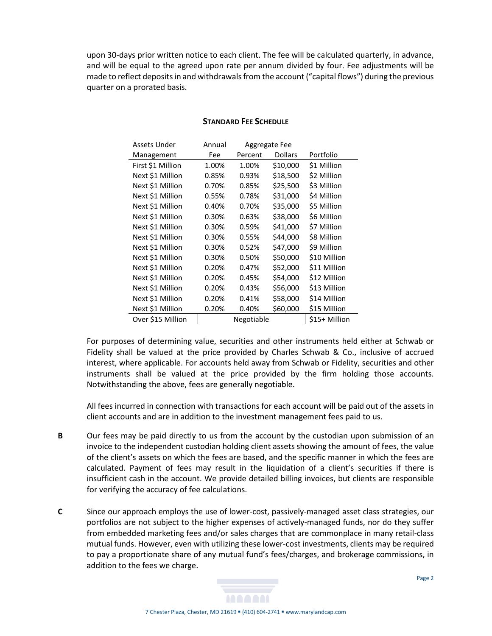upon 30-days prior written notice to each client. The fee will be calculated quarterly, in advance, and will be equal to the agreed upon rate per annum divided by four. Fee adjustments will be made to reflect deposits in and withdrawals from the account ("capital flows") during the previous quarter on a prorated basis.

| Assets Under      | Annual     | Aggregate Fee |                |               |
|-------------------|------------|---------------|----------------|---------------|
| Management        | Fee        | Percent       | <b>Dollars</b> | Portfolio     |
| First \$1 Million | 1.00%      | 1.00%         | \$10,000       | \$1 Million   |
| Next \$1 Million  | 0.85%      | 0.93%         | \$18,500       | \$2 Million   |
| Next \$1 Million  | 0.70%      | 0.85%         | \$25,500       | \$3 Million   |
| Next \$1 Million  | 0.55%      | 0.78%         | \$31,000       | \$4 Million   |
| Next \$1 Million  | 0.40%      | 0.70%         | \$35,000       | \$5 Million   |
| Next \$1 Million  | 0.30%      | 0.63%         | \$38,000       | \$6 Million   |
| Next \$1 Million  | 0.30%      | 0.59%         | \$41,000       | \$7 Million   |
| Next \$1 Million  | 0.30%      | 0.55%         | \$44,000       | \$8 Million   |
| Next \$1 Million  | 0.30%      | 0.52%         | \$47,000       | \$9 Million   |
| Next \$1 Million  | 0.30%      | 0.50%         | \$50,000       | \$10 Million  |
| Next \$1 Million  | 0.20%      | 0.47%         | \$52,000       | \$11 Million  |
| Next \$1 Million  | 0.20%      | 0.45%         | \$54,000       | \$12 Million  |
| Next \$1 Million  | 0.20%      | 0.43%         | \$56,000       | \$13 Million  |
| Next \$1 Million  | 0.20%      | 0.41%         | \$58,000       | \$14 Million  |
| Next \$1 Million  | 0.20%      | 0.40%         | \$60,000       | \$15 Million  |
| Over \$15 Million | Negotiable |               |                | \$15+ Million |

#### **STANDARD FEE SCHEDULE**

For purposes of determining value, securities and other instruments held either at Schwab or Fidelity shall be valued at the price provided by Charles Schwab & Co., inclusive of accrued interest, where applicable. For accounts held away from Schwab or Fidelity, securities and other instruments shall be valued at the price provided by the firm holding those accounts. Notwithstanding the above, fees are generally negotiable.

All fees incurred in connection with transactions for each account will be paid out of the assets in client accounts and are in addition to the investment management fees paid to us.

- **B** Our fees may be paid directly to us from the account by the custodian upon submission of an invoice to the independent custodian holding client assets showing the amount of fees, the value of the client's assets on which the fees are based, and the specific manner in which the fees are calculated. Payment of fees may result in the liquidation of a client's securities if there is insufficient cash in the account. We provide detailed billing invoices, but clients are responsible for verifying the accuracy of fee calculations.
- **C** Since our approach employs the use of lower-cost, passively-managed asset class strategies, our portfolios are not subject to the higher expenses of actively-managed funds, nor do they suffer from embedded marketing fees and/or sales charges that are commonplace in many retail-class mutual funds. However, even with utilizing these lower-cost investments, clients may be required to pay a proportionate share of any mutual fund's fees/charges, and brokerage commissions, in addition to the fees we charge.

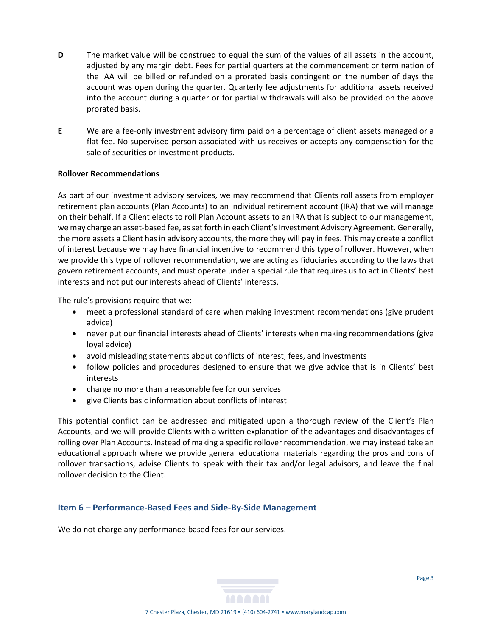- **D** The market value will be construed to equal the sum of the values of all assets in the account, adjusted by any margin debt. Fees for partial quarters at the commencement or termination of the IAA will be billed or refunded on a prorated basis contingent on the number of days the account was open during the quarter. Quarterly fee adjustments for additional assets received into the account during a quarter or for partial withdrawals will also be provided on the above prorated basis.
- **E** We are a fee-only investment advisory firm paid on a percentage of client assets managed or a flat fee. No supervised person associated with us receives or accepts any compensation for the sale of securities or investment products.

### **Rollover Recommendations**

As part of our investment advisory services, we may recommend that Clients roll assets from employer retirement plan accounts (Plan Accounts) to an individual retirement account (IRA) that we will manage on their behalf. If a Client elects to roll Plan Account assets to an IRA that is subject to our management, we may charge an asset-based fee, as set forth in each Client's Investment Advisory Agreement. Generally, the more assets a Client has in advisory accounts, the more they will pay in fees. This may create a conflict of interest because we may have financial incentive to recommend this type of rollover. However, when we provide this type of rollover recommendation, we are acting as fiduciaries according to the laws that govern retirement accounts, and must operate under a special rule that requires us to act in Clients' best interests and not put our interests ahead of Clients' interests.

The rule's provisions require that we:

- meet a professional standard of care when making investment recommendations (give prudent advice)
- never put our financial interests ahead of Clients' interests when making recommendations (give loyal advice)
- avoid misleading statements about conflicts of interest, fees, and investments
- follow policies and procedures designed to ensure that we give advice that is in Clients' best interests
- charge no more than a reasonable fee for our services
- give Clients basic information about conflicts of interest

This potential conflict can be addressed and mitigated upon a thorough review of the Client's Plan Accounts, and we will provide Clients with a written explanation of the advantages and disadvantages of rolling over Plan Accounts. Instead of making a specific rollover recommendation, we may instead take an educational approach where we provide general educational materials regarding the pros and cons of rollover transactions, advise Clients to speak with their tax and/or legal advisors, and leave the final rollover decision to the Client.

# <span id="page-4-0"></span>**Item 6 – Performance-Based Fees and Side-By-Side Management**

We do not charge any performance-based fees for our services.

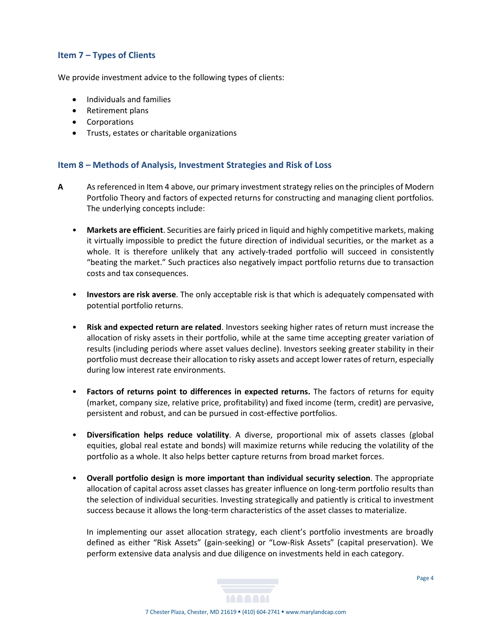## <span id="page-5-0"></span>**Item 7 – Types of Clients**

We provide investment advice to the following types of clients:

- Individuals and families
- Retirement plans
- Corporations
- Trusts, estates or charitable organizations

## <span id="page-5-1"></span>**Item 8 – Methods of Analysis, Investment Strategies and Risk of Loss**

- **A** As referenced in Item 4 above, our primary investment strategy relies on the principles of Modern Portfolio Theory and factors of expected returns for constructing and managing client portfolios. The underlying concepts include:
	- **Markets are efficient**. Securities are fairly priced in liquid and highly competitive markets, making it virtually impossible to predict the future direction of individual securities, or the market as a whole. It is therefore unlikely that any actively-traded portfolio will succeed in consistently "beating the market." Such practices also negatively impact portfolio returns due to transaction costs and tax consequences.
	- **Investors are risk averse**. The only acceptable risk is that which is adequately compensated with potential portfolio returns.
	- **Risk and expected return are related**. Investors seeking higher rates of return must increase the allocation of risky assets in their portfolio, while at the same time accepting greater variation of results (including periods where asset values decline). Investors seeking greater stability in their portfolio must decrease their allocation to risky assets and accept lower rates of return, especially during low interest rate environments.
	- **Factors of returns point to differences in expected returns.** The factors of returns for equity (market, company size, relative price, profitability) and fixed income (term, credit) are pervasive, persistent and robust, and can be pursued in cost-effective portfolios.
	- **Diversification helps reduce volatility**. A diverse, proportional mix of assets classes (global equities, global real estate and bonds) will maximize returns while reducing the volatility of the portfolio as a whole. It also helps better capture returns from broad market forces.
	- **Overall portfolio design is more important than individual security selection**. The appropriate allocation of capital across asset classes has greater influence on long-term portfolio results than the selection of individual securities. Investing strategically and patiently is critical to investment success because it allows the long-term characteristics of the asset classes to materialize.

In implementing our asset allocation strategy, each client's portfolio investments are broadly defined as either "Risk Assets" (gain-seeking) or "Low-Risk Assets" (capital preservation). We perform extensive data analysis and due diligence on investments held in each category.

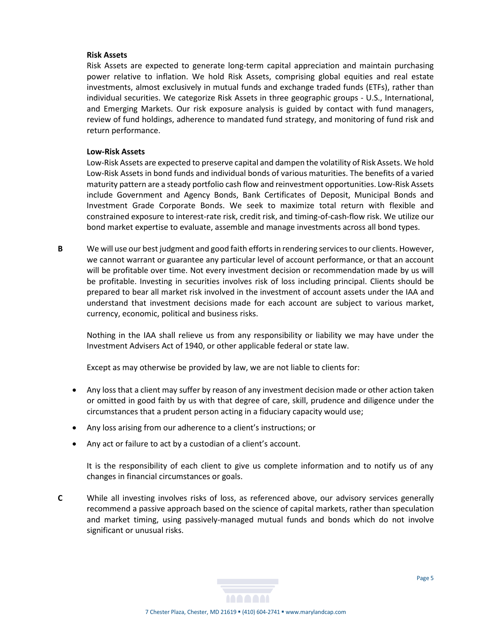#### **Risk Assets**

Risk Assets are expected to generate long-term capital appreciation and maintain purchasing power relative to inflation. We hold Risk Assets, comprising global equities and real estate investments, almost exclusively in mutual funds and exchange traded funds (ETFs), rather than individual securities. We categorize Risk Assets in three geographic groups - U.S., International, and Emerging Markets. Our risk exposure analysis is guided by contact with fund managers, review of fund holdings, adherence to mandated fund strategy, and monitoring of fund risk and return performance.

#### **Low-Risk Assets**

Low-Risk Assets are expected to preserve capital and dampen the volatility of Risk Assets. We hold Low-Risk Assets in bond funds and individual bonds of various maturities. The benefits of a varied maturity pattern are a steady portfolio cash flow and reinvestment opportunities. Low-Risk Assets include Government and Agency Bonds, Bank Certificates of Deposit, Municipal Bonds and Investment Grade Corporate Bonds. We seek to maximize total return with flexible and constrained exposure to interest-rate risk, credit risk, and timing-of-cash-flow risk. We utilize our bond market expertise to evaluate, assemble and manage investments across all bond types.

**B** We will use our best judgment and good faith efforts in rendering services to our clients. However, we cannot warrant or guarantee any particular level of account performance, or that an account will be profitable over time. Not every investment decision or recommendation made by us will be profitable. Investing in securities involves risk of loss including principal. Clients should be prepared to bear all market risk involved in the investment of account assets under the IAA and understand that investment decisions made for each account are subject to various market, currency, economic, political and business risks.

Nothing in the IAA shall relieve us from any responsibility or liability we may have under the Investment Advisers Act of 1940, or other applicable federal or state law.

Except as may otherwise be provided by law, we are not liable to clients for:

- Any loss that a client may suffer by reason of any investment decision made or other action taken or omitted in good faith by us with that degree of care, skill, prudence and diligence under the circumstances that a prudent person acting in a fiduciary capacity would use;
- Any loss arising from our adherence to a client's instructions; or
- Any act or failure to act by a custodian of a client's account.

It is the responsibility of each client to give us complete information and to notify us of any changes in financial circumstances or goals.

**C** While all investing involves risks of loss, as referenced above, our advisory services generally recommend a passive approach based on the science of capital markets, rather than speculation and market timing, using passively-managed mutual funds and bonds which do not involve significant or unusual risks.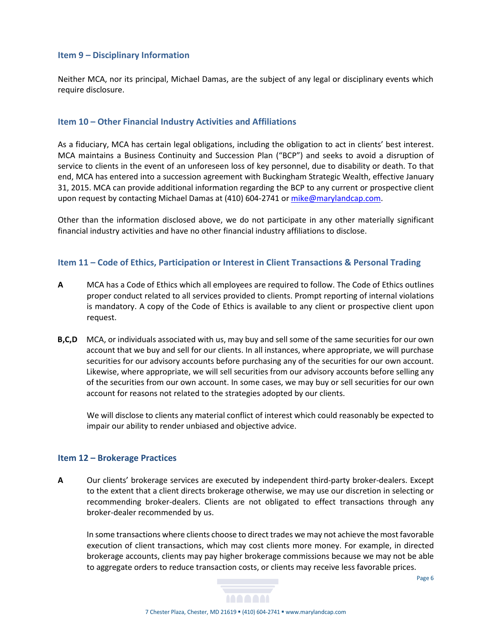### <span id="page-7-0"></span>**Item 9 – Disciplinary Information**

Neither MCA, nor its principal, Michael Damas, are the subject of any legal or disciplinary events which require disclosure.

## <span id="page-7-1"></span>**Item 10 – Other Financial Industry Activities and Affiliations**

As a fiduciary, MCA has certain legal obligations, including the obligation to act in clients' best interest. MCA maintains a Business Continuity and Succession Plan ("BCP") and seeks to avoid a disruption of service to clients in the event of an unforeseen loss of key personnel, due to disability or death. To that end, MCA has entered into a succession agreement with Buckingham Strategic Wealth, effective January 31, 2015. MCA can provide additional information regarding the BCP to any current or prospective client upon request by contacting Michael Damas at (410) 604-2741 o[r mike@marylandcap.com.](mailto:mike@marylandcapitaladvisors.com)

Other than the information disclosed above, we do not participate in any other materially significant financial industry activities and have no other financial industry affiliations to disclose.

## <span id="page-7-2"></span>**Item 11 – Code of Ethics, Participation or Interest in Client Transactions & Personal Trading**

- **A** MCA has a Code of Ethics which all employees are required to follow. The Code of Ethics outlines proper conduct related to all services provided to clients. Prompt reporting of internal violations is mandatory. A copy of the Code of Ethics is available to any client or prospective client upon request.
- **B,C,D** MCA, or individuals associated with us, may buy and sell some of the same securities for our own account that we buy and sell for our clients. In all instances, where appropriate, we will purchase securities for our advisory accounts before purchasing any of the securities for our own account. Likewise, where appropriate, we will sell securities from our advisory accounts before selling any of the securities from our own account. In some cases, we may buy or sell securities for our own account for reasons not related to the strategies adopted by our clients.

We will disclose to clients any material conflict of interest which could reasonably be expected to impair our ability to render unbiased and objective advice.

### <span id="page-7-3"></span>**Item 12 – Brokerage Practices**

**A** Our clients' brokerage services are executed by independent third-party broker-dealers. Except to the extent that a client directs brokerage otherwise, we may use our discretion in selecting or recommending broker-dealers. Clients are not obligated to effect transactions through any broker-dealer recommended by us.

In some transactions where clients choose to direct trades we may not achieve the most favorable execution of client transactions, which may cost clients more money. For example, in directed brokerage accounts, clients may pay higher brokerage commissions because we may not be able to aggregate orders to reduce transaction costs, or clients may receive less favorable prices.

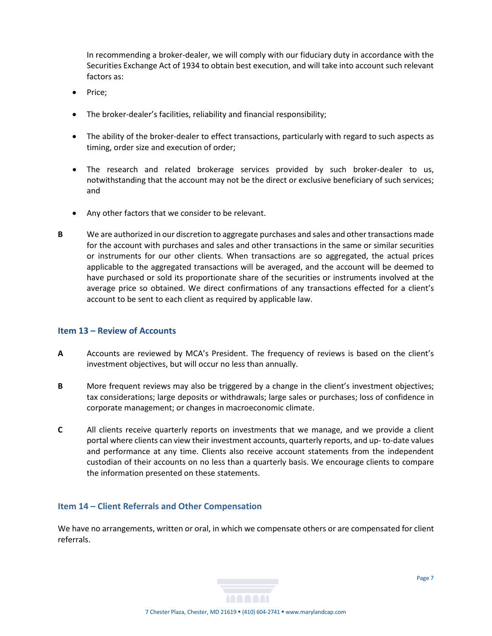In recommending a broker-dealer, we will comply with our fiduciary duty in accordance with the Securities Exchange Act of 1934 to obtain best execution, and will take into account such relevant factors as:

- Price;
- The broker-dealer's facilities, reliability and financial responsibility;
- The ability of the broker-dealer to effect transactions, particularly with regard to such aspects as timing, order size and execution of order;
- The research and related brokerage services provided by such broker-dealer to us, notwithstanding that the account may not be the direct or exclusive beneficiary of such services; and
- Any other factors that we consider to be relevant.
- **B** We are authorized in our discretion to aggregate purchases and sales and other transactions made for the account with purchases and sales and other transactions in the same or similar securities or instruments for our other clients. When transactions are so aggregated, the actual prices applicable to the aggregated transactions will be averaged, and the account will be deemed to have purchased or sold its proportionate share of the securities or instruments involved at the average price so obtained. We direct confirmations of any transactions effected for a client's account to be sent to each client as required by applicable law.

### <span id="page-8-0"></span>**Item 13 – Review of Accounts**

- **A** Accounts are reviewed by MCA's President. The frequency of reviews is based on the client's investment objectives, but will occur no less than annually.
- **B** More frequent reviews may also be triggered by a change in the client's investment objectives; tax considerations; large deposits or withdrawals; large sales or purchases; loss of confidence in corporate management; or changes in macroeconomic climate.
- **C** All clients receive quarterly reports on investments that we manage, and we provide a client portal where clients can view their investment accounts, quarterly reports, and up- to-date values and performance at any time. Clients also receive account statements from the independent custodian of their accounts on no less than a quarterly basis. We encourage clients to compare the information presented on these statements.

#### <span id="page-8-1"></span>**Item 14 – Client Referrals and Other Compensation**

We have no arrangements, written or oral, in which we compensate others or are compensated for client referrals.

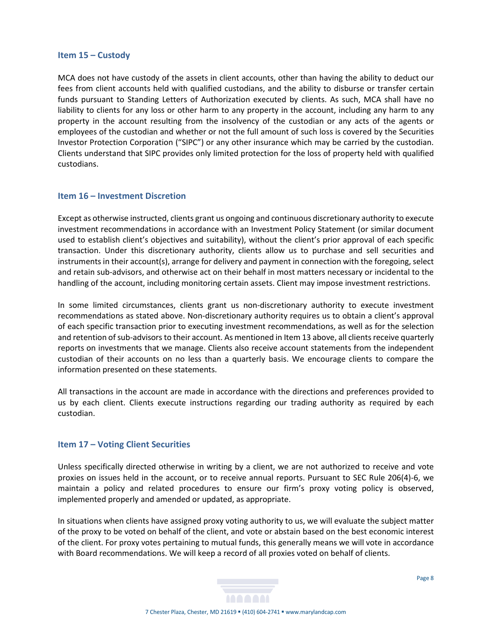#### <span id="page-9-0"></span>**Item 15 – Custody**

MCA does not have custody of the assets in client accounts, other than having the ability to deduct our fees from client accounts held with qualified custodians, and the ability to disburse or transfer certain funds pursuant to Standing Letters of Authorization executed by clients. As such, MCA shall have no liability to clients for any loss or other harm to any property in the account, including any harm to any property in the account resulting from the insolvency of the custodian or any acts of the agents or employees of the custodian and whether or not the full amount of such loss is covered by the Securities Investor Protection Corporation ("SIPC") or any other insurance which may be carried by the custodian. Clients understand that SIPC provides only limited protection for the loss of property held with qualified custodians.

#### <span id="page-9-1"></span>**Item 16 – Investment Discretion**

Except as otherwise instructed, clients grant us ongoing and continuous discretionary authority to execute investment recommendations in accordance with an Investment Policy Statement (or similar document used to establish client's objectives and suitability), without the client's prior approval of each specific transaction. Under this discretionary authority, clients allow us to purchase and sell securities and instruments in their account(s), arrange for delivery and payment in connection with the foregoing, select and retain sub-advisors, and otherwise act on their behalf in most matters necessary or incidental to the handling of the account, including monitoring certain assets. Client may impose investment restrictions.

In some limited circumstances, clients grant us non-discretionary authority to execute investment recommendations as stated above. Non-discretionary authority requires us to obtain a client's approval of each specific transaction prior to executing investment recommendations, as well as for the selection and retention of sub-advisors to their account. As mentioned in Item 13 above, all clients receive quarterly reports on investments that we manage. Clients also receive account statements from the independent custodian of their accounts on no less than a quarterly basis. We encourage clients to compare the information presented on these statements.

All transactions in the account are made in accordance with the directions and preferences provided to us by each client. Clients execute instructions regarding our trading authority as required by each custodian.

### <span id="page-9-2"></span>**Item 17 – Voting Client Securities**

Unless specifically directed otherwise in writing by a client, we are not authorized to receive and vote proxies on issues held in the account, or to receive annual reports. Pursuant to SEC Rule 206(4)-6, we maintain a policy and related procedures to ensure our firm's proxy voting policy is observed, implemented properly and amended or updated, as appropriate.

In situations when clients have assigned proxy voting authority to us, we will evaluate the subject matter of the proxy to be voted on behalf of the client, and vote or abstain based on the best economic interest of the client. For proxy votes pertaining to mutual funds, this generally means we will vote in accordance with Board recommendations. We will keep a record of all proxies voted on behalf of clients.